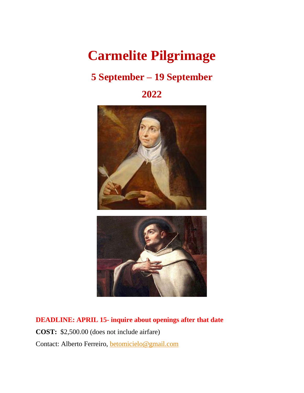## **Carmelite Pilgrimage**

### **5 September – 19 September**

**2022**



**DEADLINE: APRIL 15- inquire about openings after that date COST:** \$2,500.00 (does not include airfare) Contact: Alberto Ferreiro, [betomicielo@gmail.com](mailto:betomicielo@gmail.com)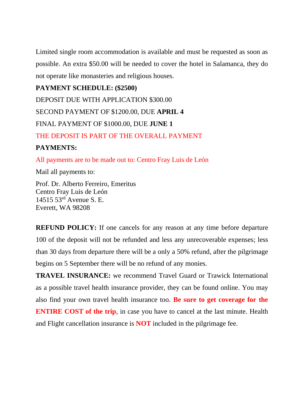Limited single room accommodation is available and must be requested as soon as possible. An extra \$50.00 will be needed to cover the hotel in Salamanca, they do not operate like monasteries and religious houses.

**PAYMENT SCHEDULE: (\$2500)** DEPOSIT DUE WITH APPLICATION \$300.00 SECOND PAYMENT OF \$1200.00, DUE **APRIL 4** FINAL PAYMENT OF \$1000.00, DUE **JUNE 1** THE DEPOSIT IS PART OF THE OVERALL PAYMENT

#### **PAYMENTS:**

All payments are to be made out to: Centro Fray Luis de León

Mail all payments to:

Prof. Dr. Alberto Ferreiro, Emeritus Centro Fray Luis de León 14515 53rd Avenue S. E. Everett, WA 98208

**REFUND POLICY:** If one cancels for any reason at any time before departure 100 of the deposit will not be refunded and less any unrecoverable expenses; less than 30 days from departure there will be a only a 50% refund, after the pilgrimage begins on 5 September there will be no refund of any monies.

**TRAVEL INSURANCE:** we recommend Travel Guard or Trawick International as a possible travel health insurance provider, they can be found online. You may also find your own travel health insurance too. **Be sure to get coverage for the ENTIRE COST of the trip**, in case you have to cancel at the last minute. Health and Flight cancellation insurance is **NOT** included in the pilgrimage fee.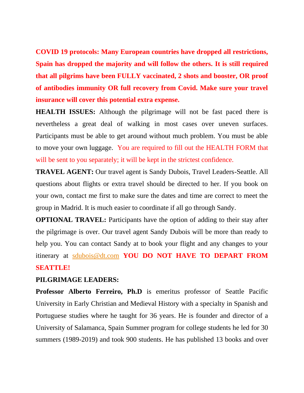**COVID 19 protocols: Many European countries have dropped all restrictions, Spain has dropped the majority and will follow the others. It is still required that all pilgrims have been FULLY vaccinated, 2 shots and booster, OR proof of antibodies immunity OR full recovery from Covid. Make sure your travel insurance will cover this potential extra expense.** 

**HEALTH ISSUES:** Although the pilgrimage will not be fast paced there is nevertheless a great deal of walking in most cases over uneven surfaces. Participants must be able to get around without much problem. You must be able to move your own luggage. You are required to fill out the HEALTH FORM that will be sent to you separately; it will be kept in the strictest confidence.

**TRAVEL AGENT:** Our travel agent is Sandy Dubois, Travel Leaders-Seattle. All questions about flights or extra travel should be directed to her. If you book on your own, contact me first to make sure the dates and time are correct to meet the group in Madrid. It is much easier to coordinate if all go through Sandy.

**OPTIONAL TRAVEL:** Participants have the option of adding to their stay after the pilgrimage is over. Our travel agent Sandy Dubois will be more than ready to help you. You can contact Sandy at to book your flight and any changes to your itinerary at [sdubois@dt.com](mailto:sdubois@dt.com) **YOU DO NOT HAVE TO DEPART FROM SEATTLE!**

#### **PILGRIMAGE LEADERS:**

**Professor Alberto Ferreiro, Ph.D** is emeritus professor of Seattle Pacific University in Early Christian and Medieval History with a specialty in Spanish and Portuguese studies where he taught for 36 years. He is founder and director of a University of Salamanca, Spain Summer program for college students he led for 30 summers (1989-2019) and took 900 students. He has published 13 books and over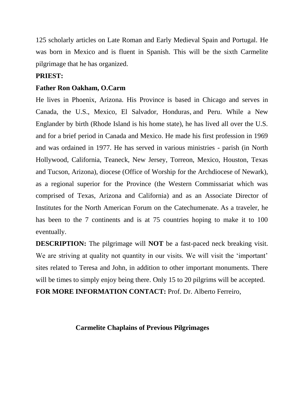125 scholarly articles on Late Roman and Early Medieval Spain and Portugal. He was born in Mexico and is fluent in Spanish. This will be the sixth Carmelite pilgrimage that he has organized.

#### **PRIEST:**

#### **Father Ron Oakham, O.Carm**

He lives in Phoenix, Arizona. His Province is based in Chicago and serves in Canada, the U.S., Mexico, El Salvador, Honduras, and Peru. While a New Englander by birth (Rhode Island is his home state), he has lived all over the U.S. and for a brief period in Canada and Mexico. He made his first profession in 1969 and was ordained in 1977. He has served in various ministries - parish (in North Hollywood, California, Teaneck, New Jersey, Torreon, Mexico, Houston, Texas and Tucson, Arizona), diocese (Office of Worship for the Archdiocese of Newark), as a regional superior for the Province (the Western Commissariat which was comprised of Texas, Arizona and California) and as an Associate Director of Institutes for the North American Forum on the Catechumenate. As a traveler, he has been to the 7 continents and is at 75 countries hoping to make it to 100 eventually.

**DESCRIPTION:** The pilgrimage will **NOT** be a fast-paced neck breaking visit. We are striving at quality not quantity in our visits. We will visit the 'important' sites related to Teresa and John, in addition to other important monuments. There will be times to simply enjoy being there. Only 15 to 20 pilgrims will be accepted.

**FOR MORE INFORMATION CONTACT:** Prof. Dr. Alberto Ferreiro,

#### **Carmelite Chaplains of Previous Pilgrimages**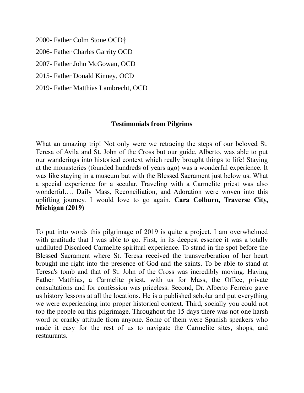2000- Father Colm Stone OCD†

2006- Father Charles Garrity OCD

2007- Father John McGowan, OCD

2015- Father Donald Kinney, OCD

2019- Father Matthias Lambrecht, OCD

#### **Testimonials from Pilgrims**

What an amazing trip! Not only were we retracing the steps of our beloved St. Teresa of Avila and St. John of the Cross but our guide, Alberto, was able to put our wanderings into historical context which really brought things to life! Staying at the monasteries (founded hundreds of years ago) was a wonderful experience. It was like staying in a museum but with the Blessed Sacrament just below us. What a special experience for a secular. Traveling with a Carmelite priest was also wonderful…. Daily Mass, Reconciliation, and Adoration were woven into this uplifting journey. I would love to go again. **Cara Colburn, Traverse City, Michigan (2019)**

To put into words this pilgrimage of 2019 is quite a project. I am overwhelmed with gratitude that I was able to go. First, in its deepest essence it was a totally undiluted Discalced Carmelite spiritual experience. To stand in the spot before the Blessed Sacrament where St. Teresa received the transverberation of her heart brought me right into the presence of God and the saints. To be able to stand at Teresa's tomb and that of St. John of the Cross was incredibly moving. Having Father Matthias, a Carmelite priest, with us for Mass, the Office, private consultations and for confession was priceless. Second, Dr. Alberto Ferreiro gave us history lessons at all the locations. He is a published scholar and put everything we were experiencing into proper historical context. Third, socially you could not top the people on this pilgrimage. Throughout the 15 days there was not one harsh word or cranky attitude from anyone. Some of them were Spanish speakers who made it easy for the rest of us to navigate the Carmelite sites, shops, and restaurants.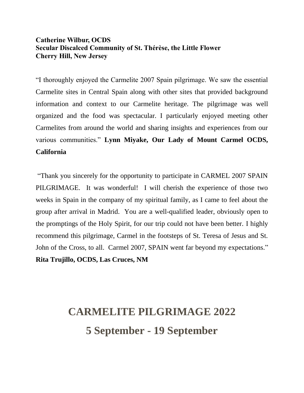#### **Catherine Wilbur, OCDS Secular Discalced Community of St. Thérèse, the Little Flower Cherry Hill, New Jersey**

"I thoroughly enjoyed the Carmelite 2007 Spain pilgrimage. We saw the essential Carmelite sites in Central Spain along with other sites that provided background information and context to our Carmelite heritage. The pilgrimage was well organized and the food was spectacular. I particularly enjoyed meeting other Carmelites from around the world and sharing insights and experiences from our various communities." **Lynn Miyake, Our Lady of Mount Carmel OCDS, California**

"Thank you sincerely for the opportunity to participate in CARMEL 2007 SPAIN PILGRIMAGE. It was wonderful! I will cherish the experience of those two weeks in Spain in the company of my spiritual family, as I came to feel about the group after arrival in Madrid. You are a well-qualified leader, obviously open to the promptings of the Holy Spirit, for our trip could not have been better. I highly recommend this pilgrimage, Carmel in the footsteps of St. Teresa of Jesus and St. John of the Cross, to all. Carmel 2007, SPAIN went far beyond my expectations." **Rita Trujillo, OCDS, Las Cruces, NM** 

# **CARMELITE PILGRIMAGE 2022 5 September - 19 September**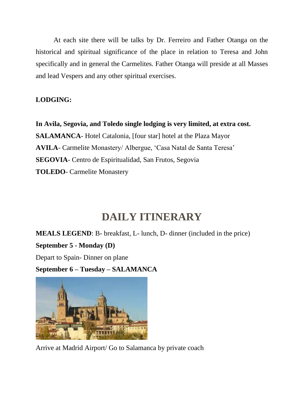At each site there will be talks by Dr. Ferreiro and Father Otanga on the historical and spiritual significance of the place in relation to Teresa and John specifically and in general the Carmelites. Father Otanga will preside at all Masses and lead Vespers and any other spiritual exercises.

#### **LODGING:**

**In Avila, Segovia, and Toledo single lodging is very limited, at extra cost. SALAMANCA**- Hotel Catalonia, [four star] hotel at the Plaza Mayor **AVILA**- Carmelite Monastery/ Albergue, 'Casa Natal de Santa Teresa' **SEGOVIA**- Centro de Espiritualidad, San Frutos, Segovia **TOLEDO**- Carmelite Monastery

### **DAILY ITINERARY**

**MEALS LEGEND**: B- breakfast, L- lunch, D- dinner (included in the price)

**September 5 - Monday (D)**

Depart to Spain- Dinner on plane

**September 6 – Tuesday – SALAMANCA**



Arrive at Madrid Airport/ Go to Salamanca by private coach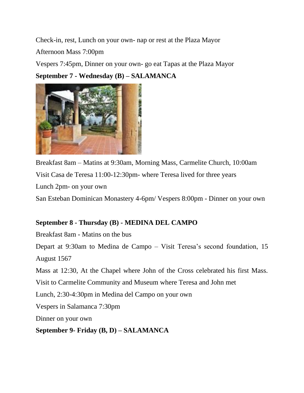Check-in, rest, Lunch on your own- nap or rest at the Plaza Mayor

Afternoon Mass 7:00pm

Vespers 7:45pm, Dinner on your own- go eat Tapas at the Plaza Mayor

**September 7 - Wednesday (B) – SALAMANCA**



Breakfast 8am – Matins at 9:30am, Morning Mass, Carmelite Church, 10:00am Visit Casa de Teresa 11:00-12:30pm- where Teresa lived for three years Lunch 2pm- on your own San Esteban Dominican Monastery 4-6pm/ Vespers 8:00pm - Dinner on your own

#### **September 8 - Thursday (B) - MEDINA DEL CAMPO**

Breakfast 8am - Matins on the bus

Depart at 9:30am to Medina de Campo – Visit Teresa's second foundation, 15 August 1567

Mass at 12:30, At the Chapel where John of the Cross celebrated his first Mass.

Visit to Carmelite Community and Museum where Teresa and John met

Lunch, 2:30-4:30pm in Medina del Campo on your own

Vespers in Salamanca 7:30pm

Dinner on your own

**September 9- Friday (B, D) – SALAMANCA**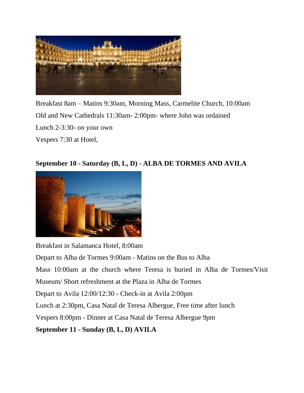

Breakfast 8am – Matins 9:30am, Morning Mass, Carmelite Church, 10:00am Old and New Cathedrals 11:30am- 2:00pm- where John was ordained Lunch 2-3:30- on your own Vespers 7:30 at Hotel,

#### **September 10 - Saturday (B, L, D) - ALBA DE TORMES AND AVILA**



Breakfast in Salamanca Hotel, 8:00am Depart to Alba de Tormes 9:00am - Matins on the Bus to Alba Mass 10:00am at the church where Teresa is buried in Alba de Tormes/Visit Museum/ Short refreshment at the Plaza in Alba de Tormes Depart to Avila 12:00/12:30 - Check-in at Avila 2:00pm Lunch at 2:30pm, Casa Natal de Teresa Albergue, Free time after lunch Vespers 8:00pm - Dinner at Casa Natal de Teresa Albergue 9pm **September 11 - Sunday (B, L, D) AVILA**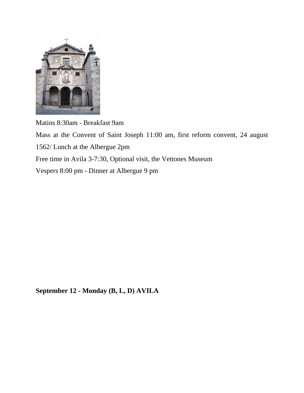

Matins 8:30am - Breakfast 9am

Mass at the Convent of Saint Joseph 11:00 am, first reform convent, 24 august 1562/ Lunch at the Albergue 2pm Free time in Avila 3-7:30, Optional visit, the Vettones Museum Vespers 8:00 pm - Dinner at Albergue 9 pm

**September 12 - Monday (B, L, D) AVILA**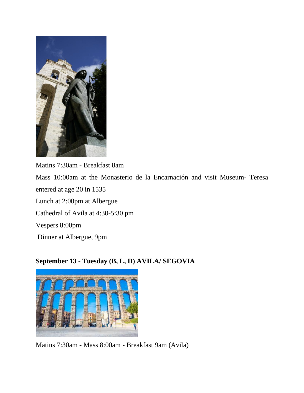

Matins 7:30am - Breakfast 8am Mass 10:00am at the Monasterio de la Encarnación and visit Museum- Teresa entered at age 20 in 1535 Lunch at 2:00pm at Albergue Cathedral of Avila at 4:30-5:30 pm Vespers 8:00pm Dinner at Albergue, 9pm

#### **September 13 - Tuesday (B, L, D) AVILA/ SEGOVIA**



Matins 7:30am - Mass 8:00am - Breakfast 9am (Avila)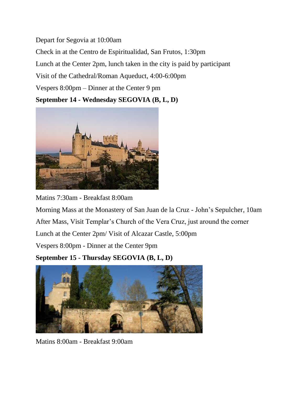Depart for Segovia at 10:00am Check in at the Centro de Espiritualidad, San Frutos, 1:30pm Lunch at the Center 2pm, lunch taken in the city is paid by participant Visit of the Cathedral/Roman Aqueduct, 4:00-6:00pm Vespers 8:00pm – Dinner at the Center 9 pm **September 14 - Wednesday SEGOVIA (B, L, D)**



Matins 7:30am - Breakfast 8:00am

Morning Mass at the Monastery of San Juan de la Cruz - John's Sepulcher, 10am After Mass, Visit Templar's Church of the Vera Cruz, just around the corner Lunch at the Center 2pm/ Visit of Alcazar Castle, 5:00pm

Vespers 8:00pm - Dinner at the Center 9pm

**September 15 - Thursday SEGOVIA (B, L, D)**



Matins 8:00am - Breakfast 9:00am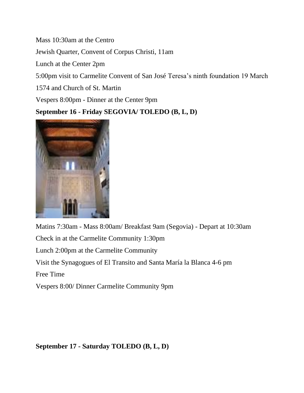Mass 10:30am at the Centro

Jewish Quarter, Convent of Corpus Christi, 11am

Lunch at the Center 2pm

5:00pm visit to Carmelite Convent of San José Teresa's ninth foundation 19 March

1574 and Church of St. Martin

Vespers 8:00pm - Dinner at the Center 9pm

#### **September 16 - Friday SEGOVIA/ TOLEDO (B, L, D)**



Matins 7:30am - Mass 8:00am/ Breakfast 9am (Segovia) - Depart at 10:30am Check in at the Carmelite Community 1:30pm Lunch 2:00pm at the Carmelite Community Visit the Synagogues of El Transito and Santa María la Blanca 4-6 pm Free Time Vespers 8:00/ Dinner Carmelite Community 9pm

**September 17 - Saturday TOLEDO (B, L, D)**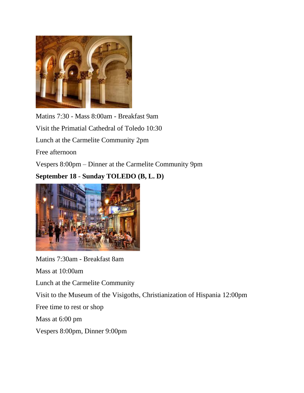

Matins 7:30 - Mass 8:00am - Breakfast 9am Visit the Primatial Cathedral of Toledo 10:30 Lunch at the Carmelite Community 2pm Free afternoon Vespers 8:00pm – Dinner at the Carmelite Community 9pm **September 18** - **Sunday TOLEDO (B, L. D)**



Matins 7:30am - Breakfast 8am Mass at 10:00am Lunch at the Carmelite Community Visit to the Museum of the Visigoths, Christianization of Hispania 12:00pm Free time to rest or shop Mass at 6:00 pm Vespers 8:00pm, Dinner 9:00pm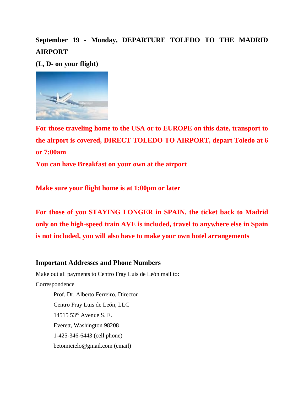**September 19 - Monday, DEPARTURE TOLEDO TO THE MADRID AIRPORT** 

**(L, D- on your flight)**



**For those traveling home to the USA or to EUROPE on this date, transport to the airport is covered, DIRECT TOLEDO TO AIRPORT, depart Toledo at 6 or 7:00am**

**You can have Breakfast on your own at the airport**

**Make sure your flight home is at 1:00pm or later**

**For those of you STAYING LONGER in SPAIN, the ticket back to Madrid only on the high-speed train AVE is included, travel to anywhere else in Spain is not included, you will also have to make your own hotel arrangements** 

#### **Important Addresses and Phone Numbers**

Make out all payments to Centro Fray Luis de León mail to: Correspondence Prof. Dr. Alberto Ferreiro, Director Centro Fray Luis de León, LLC 14515 53rd Avenue S. E. Everett, Washington 98208 1-425-346-6443 (cell phone) betomicielo@gmail.com (email)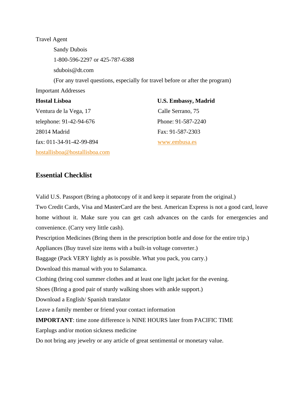Travel Agent Sandy Dubois 1-800-596-2297 or 425-787-6388 sdubois@dt.com (For any travel questions, especially for travel before or after the program) Important Addresses **Hostal Lisboa U.S. Embassy, Madrid** Ventura de la Vega, 17 Calle Serrano, 75 telephone: 91-42-94-676 Phone: 91-587-2240 28014 Madrid Fax: 91-587-2303

fax: 011-34-91-42-99-894 [www.embusa.es](http://www.embusa.es/) 

[hostallisboa@hostallisboa.com](mailto:hostallisboa@hostallisboa.com)

#### **Essential Checklist**

Valid U.S. Passport (Bring a photocopy of it and keep it separate from the original.)

Two Credit Cards, Visa and MasterCard are the best. American Express is not a good card, leave home without it. Make sure you can get cash advances on the cards for emergencies and convenience. (Carry very little cash).

Prescription Medicines (Bring them in the prescription bottle and dose for the entire trip.)

Appliances (Buy travel size items with a built-in voltage converter.)

Baggage (Pack VERY lightly as is possible. What you pack, you carry.)

Download this manual with you to Salamanca.

Clothing (bring cool summer clothes and at least one light jacket for the evening.

Shoes (Bring a good pair of sturdy walking shoes with ankle support.)

Download a English/ Spanish translator

Leave a family member or friend your contact information

**IMPORTANT**: time zone difference is NINE HOURS later from PACIFIC TIME

Earplugs and/or motion sickness medicine

Do not bring any jewelry or any article of great sentimental or monetary value.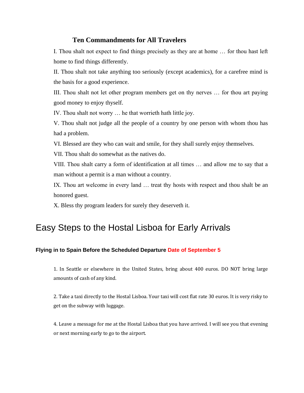#### **Ten Commandments for All Travelers**

I. Thou shalt not expect to find things precisely as they are at home … for thou hast left home to find things differently.

II. Thou shalt not take anything too seriously (except academics), for a carefree mind is the basis for a good experience.

III. Thou shalt not let other program members get on thy nerves … for thou art paying good money to enjoy thyself.

IV. Thou shalt not worry … he that worrieth hath little joy.

V. Thou shalt not judge all the people of a country by one person with whom thou has had a problem.

VI. Blessed are they who can wait and smile, for they shall surely enjoy themselves.

VII. Thou shalt do somewhat as the natives do.

VIII. Thou shalt carry a form of identification at all times … and allow me to say that a man without a permit is a man without a country.

IX. Thou art welcome in every land … treat thy hosts with respect and thou shalt be an honored guest.

X. Bless thy program leaders for surely they deserveth it.

### Easy Steps to the Hostal Lisboa for Early Arrivals

#### **Flying in to Spain Before the Scheduled Departure Date of September 5**

1. In Seattle or elsewhere in the United States, bring about 400 euros. DO NOT bring large amounts of cash of any kind.

2. Take a taxi directly to the Hostal Lisboa. Your taxi will cost flat rate 30 euros. It is very risky to get on the subway with luggage.

4. Leave a message for me at the Hostal Lisboa that you have arrived. I will see you that evening or next morning early to go to the airport.